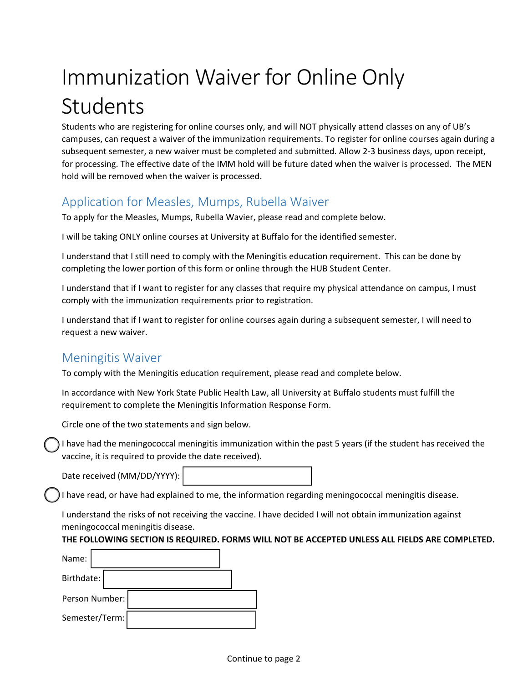# Immunization Waiver for Online Only Students

Students who are registering for online courses only, and will NOT physically attend classes on any of UB's campuses, can request a waiver of the immunization requirements. To register for online courses again during a subsequent semester, a new waiver must be completed and submitted. Allow 2-3 business days, upon receipt, for processing. The effective date of the IMM hold will be future dated when the waiver is processed. The MEN hold will be removed when the waiver is processed.

## Application for Measles, Mumps, Rubella Waiver

To apply for the Measles, Mumps, Rubella Wavier, please read and complete below.

I will be taking ONLY online courses at University at Buffalo for the identified semester.

I understand that I still need to comply with the Meningitis education requirement. This can be done by completing the lower portion of this form or online through the HUB Student Center.

I understand that if I want to register for any classes that require my physical attendance on campus, I must comply with the immunization requirements prior to registration.

I understand that if I want to register for online courses again during a subsequent semester, I will need to request a new waiver.

#### Meningitis Waiver

To comply with the Meningitis education requirement, please read and complete below.

In accordance with New York State Public Health Law, all University at Buffalo students must fulfill the requirement to complete the Meningitis Information Response Form.

Circle one of the two statements and sign below.

I have had the meningococcal meningitis immunization within the past 5 years (if the student has received the vaccine, it is required to provide the date received).

Date received (MM/DD/YYYY):

I have read, or have had explained to me, the information regarding meningococcal meningitis disease.

I understand the risks of not receiving the vaccine. I have decided I will not obtain immunization against meningococcal meningitis disease.

#### **THE FOLLOWING SECTION IS REQUIRED. FORMS WILL NOT BE ACCEPTED UNLESS ALL FIELDS ARE COMPLETED.**

| Name:          |                |  |  |  |
|----------------|----------------|--|--|--|
| Birthdate:     |                |  |  |  |
| Person Number: |                |  |  |  |
|                | Semester/Term: |  |  |  |